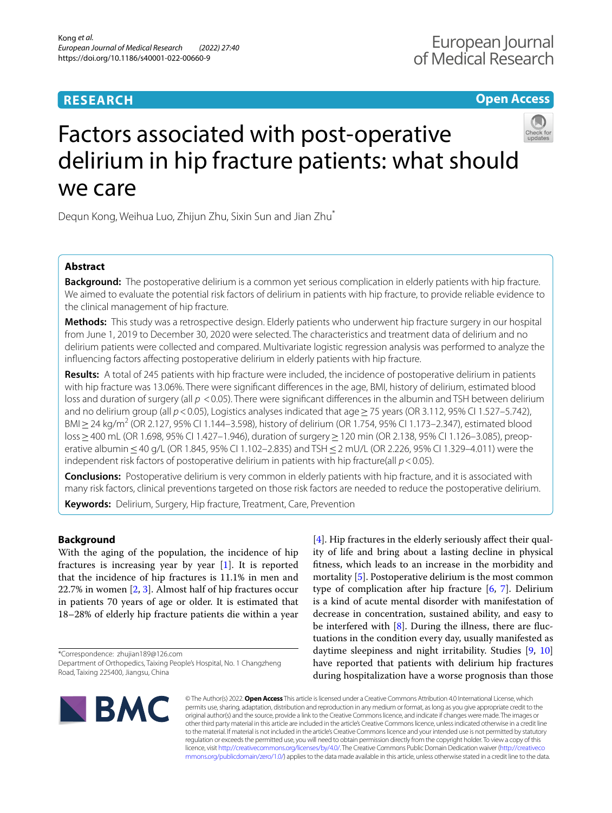# **RESEARCH**

**Open Access**

# Factors associated with post-operative delirium in hip fracture patients: what should we care

Dequn Kong, Weihua Luo, Zhijun Zhu, Sixin Sun and Jian Zhu\*

# **Abstract**

**Background:** The postoperative delirium is a common yet serious complication in elderly patients with hip fracture. We aimed to evaluate the potential risk factors of delirium in patients with hip fracture, to provide reliable evidence to the clinical management of hip fracture.

**Methods:** This study was a retrospective design. Elderly patients who underwent hip fracture surgery in our hospital from June 1, 2019 to December 30, 2020 were selected. The characteristics and treatment data of delirium and no delirium patients were collected and compared. Multivariate logistic regression analysis was performed to analyze the infuencing factors afecting postoperative delirium in elderly patients with hip fracture.

**Results:** A total of 245 patients with hip fracture were included, the incidence of postoperative delirium in patients with hip fracture was 13.06%. There were signifcant diferences in the age, BMI, history of delirium, estimated blood loss and duration of surgery (all  $p < 0.05$ ). There were significant differences in the albumin and TSH between delirium and no delirium group (all *p*<0.05), Logistics analyses indicated that age > 75 years (OR 3.112, 95% CI 1.527–5.742), BMI ≥ 24 kg/m<sup>2</sup> (OR 2.127, 95% CI 1.144–3.598), history of delirium (OR 1.754, 95% CI 1.173–2.347), estimated blood<br>. loss≥400 mL (OR 1.698, 95% CI 1.427–1.946), duration of surgery≥120 min (OR 2.138, 95% CI 1.126–3.085), preoperative albumin ≤40 g/L (OR 1.845, 95% CI 1.102–2.835) and TSH ≤ 2 mU/L (OR 2.226, 95% CI 1.329–4.011) were the independent risk factors of postoperative delirium in patients with hip fracture(all  $p$  < 0.05).

**Conclusions:** Postoperative delirium is very common in elderly patients with hip fracture, and it is associated with many risk factors, clinical preventions targeted on those risk factors are needed to reduce the postoperative delirium.

**Keywords:** Delirium, Surgery, Hip fracture, Treatment, Care, Prevention

# **Background**

With the aging of the population, the incidence of hip fractures is increasing year by year [\[1](#page-5-0)]. It is reported that the incidence of hip fractures is 11.1% in men and 22.7% in women [\[2](#page-5-1), [3\]](#page-5-2). Almost half of hip fractures occur in patients 70 years of age or older. It is estimated that 18–28% of elderly hip fracture patients die within a year

\*Correspondence: zhujian189@126.com

[[4\]](#page-5-3). Hip fractures in the elderly seriously affect their quality of life and bring about a lasting decline in physical ftness, which leads to an increase in the morbidity and mortality [\[5\]](#page-5-4). Postoperative delirium is the most common type of complication after hip fracture  $[6, 7]$  $[6, 7]$  $[6, 7]$  $[6, 7]$ . Delirium is a kind of acute mental disorder with manifestation of decrease in concentration, sustained ability, and easy to be interfered with [\[8](#page-5-7)]. During the illness, there are fuctuations in the condition every day, usually manifested as daytime sleepiness and night irritability. Studies [\[9](#page-5-8), [10](#page-5-9)] have reported that patients with delirium hip fractures during hospitalization have a worse prognosis than those



© The Author(s) 2022. **Open Access** This article is licensed under a Creative Commons Attribution 4.0 International License, which permits use, sharing, adaptation, distribution and reproduction in any medium or format, as long as you give appropriate credit to the original author(s) and the source, provide a link to the Creative Commons licence, and indicate if changes were made. The images or other third party material in this article are included in the article's Creative Commons licence, unless indicated otherwise in a credit line to the material. If material is not included in the article's Creative Commons licence and your intended use is not permitted by statutory regulation or exceeds the permitted use, you will need to obtain permission directly from the copyright holder. To view a copy of this licence, visit [http://creativecommons.org/licenses/by/4.0/.](http://creativecommons.org/licenses/by/4.0/) The Creative Commons Public Domain Dedication waiver ([http://creativeco](http://creativecommons.org/publicdomain/zero/1.0/) [mmons.org/publicdomain/zero/1.0/](http://creativecommons.org/publicdomain/zero/1.0/)) applies to the data made available in this article, unless otherwise stated in a credit line to the data.

Department of Orthopedics, Taixing People's Hospital, No. 1 Changzheng Road, Taixing 225400, Jiangsu, China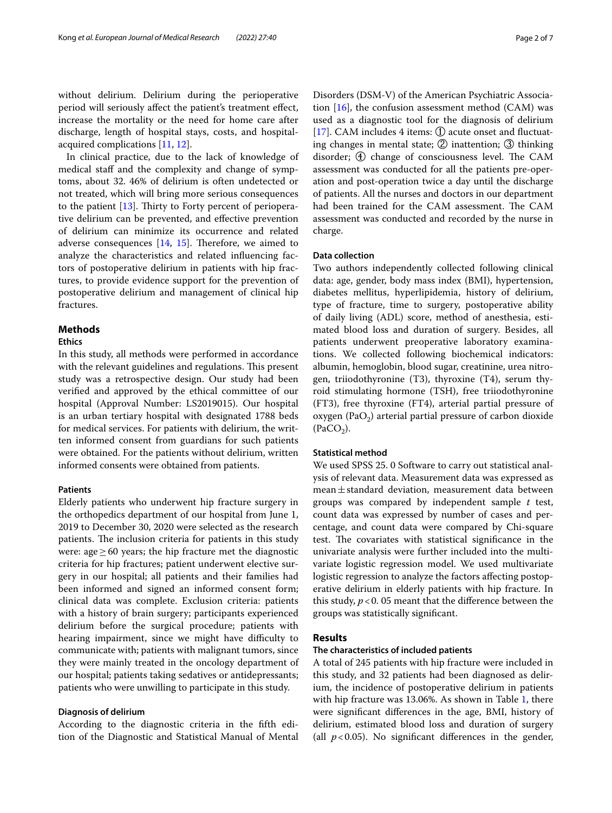without delirium. Delirium during the perioperative period will seriously afect the patient's treatment efect, increase the mortality or the need for home care after discharge, length of hospital stays, costs, and hospitalacquired complications [\[11](#page-5-10), [12\]](#page-5-11).

In clinical practice, due to the lack of knowledge of medical staff and the complexity and change of symptoms, about 32. 46% of delirium is often undetected or not treated, which will bring more serious consequences to the patient  $[13]$  $[13]$ . Thirty to Forty percent of perioperative delirium can be prevented, and efective prevention of delirium can minimize its occurrence and related adverse consequences  $[14, 15]$  $[14, 15]$  $[14, 15]$  $[14, 15]$ . Therefore, we aimed to analyze the characteristics and related infuencing factors of postoperative delirium in patients with hip fractures, to provide evidence support for the prevention of postoperative delirium and management of clinical hip fractures.

# **Methods**

# **Ethics**

In this study, all methods were performed in accordance with the relevant guidelines and regulations. This present study was a retrospective design. Our study had been verifed and approved by the ethical committee of our hospital (Approval Number: LS2019015). Our hospital is an urban tertiary hospital with designated 1788 beds for medical services. For patients with delirium, the written informed consent from guardians for such patients were obtained. For the patients without delirium, written informed consents were obtained from patients.

# **Patients**

Elderly patients who underwent hip fracture surgery in the orthopedics department of our hospital from June 1, 2019 to December 30, 2020 were selected as the research patients. The inclusion criteria for patients in this study were: age  $\geq 60$  years; the hip fracture met the diagnostic criteria for hip fractures; patient underwent elective surgery in our hospital; all patients and their families had been informed and signed an informed consent form; clinical data was complete. Exclusion criteria: patients with a history of brain surgery; participants experienced delirium before the surgical procedure; patients with hearing impairment, since we might have difficulty to communicate with; patients with malignant tumors, since they were mainly treated in the oncology department of our hospital; patients taking sedatives or antidepressants; patients who were unwilling to participate in this study.

# **Diagnosis of delirium**

According to the diagnostic criteria in the ffth edition of the Diagnostic and Statistical Manual of Mental Disorders (DSM-V) of the American Psychiatric Association  $[16]$  $[16]$  $[16]$ , the confusion assessment method (CAM) was used as a diagnostic tool for the diagnosis of delirium [[17\]](#page-5-16). CAM includes 4 items: ① acute onset and fuctuating changes in mental state; ② inattention; ③ thinking disorder;  $\Phi$  change of consciousness level. The CAM assessment was conducted for all the patients pre-operation and post-operation twice a day until the discharge of patients. All the nurses and doctors in our department had been trained for the CAM assessment. The CAM assessment was conducted and recorded by the nurse in charge.

# **Data collection**

Two authors independently collected following clinical data: age, gender, body mass index (BMI), hypertension, diabetes mellitus, hyperlipidemia, history of delirium, type of fracture, time to surgery, postoperative ability of daily living (ADL) score, method of anesthesia, estimated blood loss and duration of surgery. Besides, all patients underwent preoperative laboratory examinations. We collected following biochemical indicators: albumin, hemoglobin, blood sugar, creatinine, urea nitrogen, triiodothyronine (T3), thyroxine (T4), serum thyroid stimulating hormone (TSH), free triiodothyronine (FT3), free thyroxine (FT4), arterial partial pressure of oxygen (PaO<sub>2</sub>) arterial partial pressure of carbon dioxide  $(PaCO<sub>2</sub>)$ .

# **Statistical method**

We used SPSS 25. 0 Software to carry out statistical analysis of relevant data. Measurement data was expressed as mean±standard deviation, measurement data between groups was compared by independent sample *t* test, count data was expressed by number of cases and percentage, and count data were compared by Chi-square test. The covariates with statistical significance in the univariate analysis were further included into the multivariate logistic regression model. We used multivariate logistic regression to analyze the factors affecting postoperative delirium in elderly patients with hip fracture. In this study,  $p < 0$ . 05 meant that the difference between the groups was statistically signifcant.

# **Results**

## **The characteristics of included patients**

A total of 245 patients with hip fracture were included in this study, and 32 patients had been diagnosed as delirium, the incidence of postoperative delirium in patients with hip fracture was 13.06%. As shown in Table [1](#page-2-0), there were signifcant diferences in the age, BMI, history of delirium, estimated blood loss and duration of surgery (all  $p < 0.05$ ). No significant differences in the gender,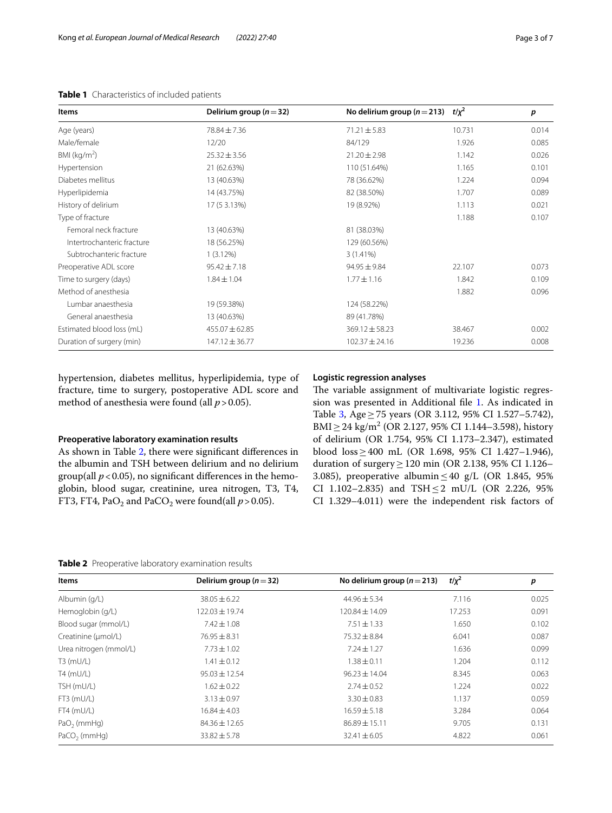| <b>Items</b>               | Delirium group ( $n = 32$ ) | No delirium group ( $n = 213$ ) | $t/x^2$ | p     |  |
|----------------------------|-----------------------------|---------------------------------|---------|-------|--|
| Age (years)                | 78.84 ± 7.36                | $71.21 \pm 5.83$                | 10.731  | 0.014 |  |
| Male/female                | 12/20                       | 84/129                          | 1.926   | 0.085 |  |
| BMI ( $kg/m2$ )            | $25.32 \pm 3.56$            | $21.20 \pm 2.98$                | 1.142   | 0.026 |  |
| Hypertension               | 21 (62.63%)                 | 110 (51.64%)                    | 1.165   | 0.101 |  |
| Diabetes mellitus          | 13 (40.63%)                 | 78 (36.62%)                     | 1.224   | 0.094 |  |
| Hyperlipidemia             | 14 (43.75%)                 | 82 (38.50%)                     | 1.707   | 0.089 |  |
| History of delirium        | 17 (5 3.13%)                | 19 (8.92%)                      | 1.113   | 0.021 |  |
| Type of fracture           |                             |                                 | 1.188   | 0.107 |  |
| Femoral neck fracture      | 13 (40.63%)                 | 81 (38.03%)                     |         |       |  |
| Intertrochanteric fracture | 18 (56.25%)                 | 129 (60.56%)                    |         |       |  |
| Subtrochanteric fracture   | $1(3.12\%)$                 | $3(1.41\%)$                     |         |       |  |
| Preoperative ADL score     | $95.42 \pm 7.18$            | $94.95 \pm 9.84$                | 22.107  | 0.073 |  |
| Time to surgery (days)     | $1.84 \pm 1.04$             | $1.77 \pm 1.16$                 | 1.842   | 0.109 |  |
| Method of anesthesia       |                             |                                 | 1.882   | 0.096 |  |
| Lumbar anaesthesia         | 19 (59.38%)                 | 124 (58.22%)                    |         |       |  |
| General anaesthesia        | 13 (40.63%)                 | 89 (41.78%)                     |         |       |  |
| Estimated blood loss (mL)  | $455.07 \pm 62.85$          | $369.12 \pm 58.23$              | 38.467  | 0.002 |  |
| Duration of surgery (min)  | $147.12 \pm 36.77$          | $102.37 \pm 24.16$              | 19.236  | 0.008 |  |

# <span id="page-2-0"></span>**Table 1** Characteristics of included patients

hypertension, diabetes mellitus, hyperlipidemia, type of fracture, time to surgery, postoperative ADL score and method of anesthesia were found (all  $p > 0.05$ ).

# **Preoperative laboratory examination results**

As shown in Table [2,](#page-2-1) there were signifcant diferences in the albumin and TSH between delirium and no delirium group(all  $p < 0.05$ ), no significant differences in the hemoglobin, blood sugar, creatinine, urea nitrogen, T3, T4, FT3, FT4, PaO<sub>2</sub> and PaCO<sub>2</sub> were found(all  $p > 0.05$ ).

# **Logistic regression analyses**

The variable assignment of multivariate logistic regression was presented in Additional fle [1](#page-4-0). As indicated in Table [3,](#page-3-0) Age ≥ 75 years (OR 3.112, 95% CI 1.527–5.742), BMI $\geq$ 24 kg/m<sup>2</sup> (OR 2.127, 95% CI 1.144–3.598), history of delirium (OR 1.754, 95% CI 1.173–2.347), estimated blood loss≥400 mL (OR 1.698, 95% CI 1.427–1.946), duration of surgery≥120 min (OR 2.138, 95% CI 1.126– 3.085), preoperative albumin  $\leq 40$  g/L (OR 1.845, 95%) CI 1.102–2.835) and TSH  $\leq$  2 mU/L (OR 2.226, 95% CI 1.329–4.011) were the independent risk factors of

<span id="page-2-1"></span>**Table 2** Preoperative laboratory examination results

| Items                  | Delirium group ( $n = 32$ ) | No delirium group ( $n = 213$ ) | $t/x^2$ | p     |  |
|------------------------|-----------------------------|---------------------------------|---------|-------|--|
| Albumin (g/L)          | $38.05 \pm 6.22$            | $44.96 \pm 5.34$                | 7.116   | 0.025 |  |
| Hemoglobin (g/L)       | $122.03 \pm 19.74$          | $120.84 \pm 14.09$              | 17.253  | 0.091 |  |
| Blood sugar (mmol/L)   | $7.42 \pm 1.08$             | $7.51 \pm 1.33$                 | 1.650   | 0.102 |  |
| Creatinine (µmol/L)    | $76.95 \pm 8.31$            | $75.32 \pm 8.84$                | 6.041   | 0.087 |  |
| Urea nitrogen (mmol/L) | $7.73 \pm 1.02$             | $7.24 \pm 1.27$                 | 1.636   | 0.099 |  |
| $T3$ (mU/L)            | $1.41 \pm 0.12$             | $1.38 \pm 0.11$                 | 1.204   | 0.112 |  |
| $T4$ (mU/L)            | $95.03 \pm 12.54$           | $96.23 \pm 14.04$               | 8.345   | 0.063 |  |
| TSH (mU/L)             | $1.62 \pm 0.22$             | $2.74 \pm 0.52$                 | 1.224   | 0.022 |  |
| $FT3$ (mU/L)           | $3.13 \pm 0.97$             | $3.30 \pm 0.83$                 | 1.137   | 0.059 |  |
| $FT4$ (mU/L)           | $16.84 \pm 4.03$            | $16.59 \pm 5.18$                | 3.284   | 0.064 |  |
| $PaO2$ (mmHq)          | $84.36 \pm 12.65$           | $86.89 \pm 15.11$               | 9.705   | 0.131 |  |
| $PaCO2$ (mmHg)         | $33.82 \pm 5.78$            | $32.41 \pm 6.05$                | 4.822   | 0.061 |  |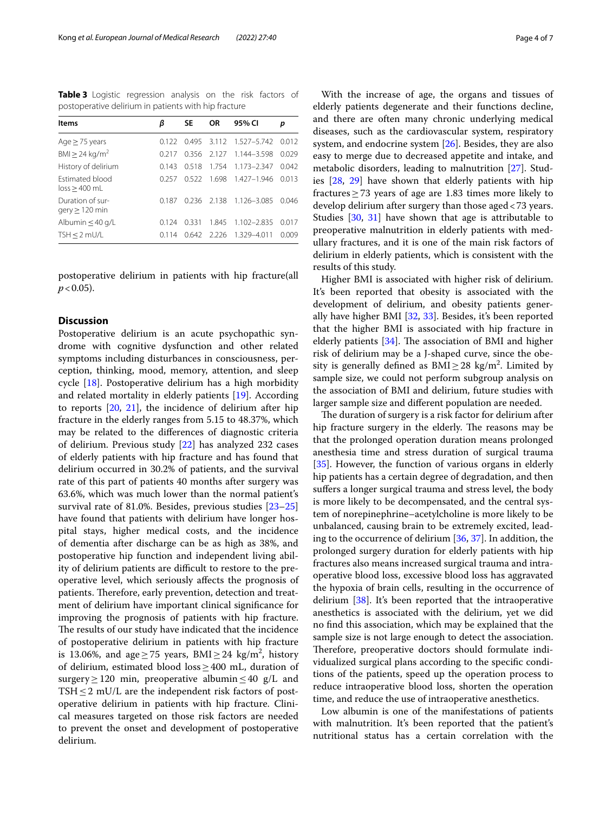<span id="page-3-0"></span>**Table 3** Logistic regression analysis on the risk factors of postoperative delirium in patients with hip fracture

| Items                                     | β     | SΕ    | <b>OR</b>   | 95% CI            | р     |
|-------------------------------------------|-------|-------|-------------|-------------------|-------|
| Age $\geq$ 75 years                       | 0.122 | 0495  | 3.112       | 1.527-5.742       | 0.012 |
| BMI $\geq$ 24 kg/m <sup>2</sup>           | 0.217 | 0.356 | 2.127       | 1.144-3.598       | 0.029 |
| History of delirium                       | 0.143 | 0.518 |             | 1.754 1.173-2.347 | 0.042 |
| <b>Fstimated blood</b><br>$loss > 400$ mL | 0.257 | 0522  | 1.698       | 1.427-1.946       | 0013  |
| Duration of sur-<br>$qery \ge 120$ min    | 0.187 |       | 0.236 2.138 | 1.126-3.085       | 0.046 |
| Albumin $\leq$ 40 g/L                     | 0.124 | 0331  | 1.845       | 1.102-2.835       | 0.017 |
| $TSH < 2$ mU/L                            | 0.114 | 0.642 | 2.226       | 1.329-4.011       | 0.009 |

postoperative delirium in patients with hip fracture(all  $p < 0.05$ ).

# **Discussion**

Postoperative delirium is an acute psychopathic syndrome with cognitive dysfunction and other related symptoms including disturbances in consciousness, perception, thinking, mood, memory, attention, and sleep cycle [\[18](#page-5-17)]. Postoperative delirium has a high morbidity and related mortality in elderly patients [\[19](#page-5-18)]. According to reports [\[20](#page-5-19), [21\]](#page-5-20), the incidence of delirium after hip fracture in the elderly ranges from 5.15 to 48.37%, which may be related to the diferences of diagnostic criteria of delirium. Previous study [\[22](#page-5-21)] has analyzed 232 cases of elderly patients with hip fracture and has found that delirium occurred in 30.2% of patients, and the survival rate of this part of patients 40 months after surgery was 63.6%, which was much lower than the normal patient's survival rate of 81.0%. Besides, previous studies [[23–](#page-5-22)[25](#page-5-23)] have found that patients with delirium have longer hospital stays, higher medical costs, and the incidence of dementia after discharge can be as high as 38%, and postoperative hip function and independent living ability of delirium patients are difficult to restore to the preoperative level, which seriously afects the prognosis of patients. Therefore, early prevention, detection and treatment of delirium have important clinical signifcance for improving the prognosis of patients with hip fracture. The results of our study have indicated that the incidence of postoperative delirium in patients with hip fracture is 13.06%, and age $\geq$  75 years, BMI $\geq$  24 kg/m<sup>2</sup>, history of delirium, estimated blood loss≥400 mL, duration of surgery  $\geq$  120 min, preoperative albumin  $\leq$  40 g/L and TSH $\leq$ 2 mU/L are the independent risk factors of postoperative delirium in patients with hip fracture. Clinical measures targeted on those risk factors are needed to prevent the onset and development of postoperative delirium.

With the increase of age, the organs and tissues of elderly patients degenerate and their functions decline, and there are often many chronic underlying medical diseases, such as the cardiovascular system, respiratory system, and endocrine system [\[26](#page-5-24)]. Besides, they are also easy to merge due to decreased appetite and intake, and metabolic disorders, leading to malnutrition [\[27](#page-5-25)]. Studies [\[28](#page-5-26), [29\]](#page-5-27) have shown that elderly patients with hip fractures  $\geq$  73 years of age are 1.83 times more likely to develop delirium after surgery than those aged<73 years. Studies [[30,](#page-5-28) [31\]](#page-5-29) have shown that age is attributable to preoperative malnutrition in elderly patients with medullary fractures, and it is one of the main risk factors of delirium in elderly patients, which is consistent with the results of this study.

Higher BMI is associated with higher risk of delirium. It's been reported that obesity is associated with the development of delirium, and obesity patients generally have higher BMI [\[32,](#page-5-30) [33\]](#page-5-31). Besides, it's been reported that the higher BMI is associated with hip fracture in elderly patients  $[34]$  $[34]$  $[34]$ . The association of BMI and higher risk of delirium may be a J-shaped curve, since the obesity is generally defined as  $\text{BMI} \geq 28 \text{ kg/m}^2$ . Limited by sample size, we could not perform subgroup analysis on the association of BMI and delirium, future studies with larger sample size and diferent population are needed.

The duration of surgery is a risk factor for delirium after hip fracture surgery in the elderly. The reasons may be that the prolonged operation duration means prolonged anesthesia time and stress duration of surgical trauma [[35\]](#page-5-33). However, the function of various organs in elderly hip patients has a certain degree of degradation, and then sufers a longer surgical trauma and stress level, the body is more likely to be decompensated, and the central system of norepinephrine–acetylcholine is more likely to be unbalanced, causing brain to be extremely excited, leading to the occurrence of delirium [\[36,](#page-6-0) [37](#page-6-1)]. In addition, the prolonged surgery duration for elderly patients with hip fractures also means increased surgical trauma and intraoperative blood loss, excessive blood loss has aggravated the hypoxia of brain cells, resulting in the occurrence of delirium [[38](#page-6-2)]. It's been reported that the intraoperative anesthetics is associated with the delirium, yet we did no fnd this association, which may be explained that the sample size is not large enough to detect the association. Therefore, preoperative doctors should formulate individualized surgical plans according to the specifc conditions of the patients, speed up the operation process to reduce intraoperative blood loss, shorten the operation time, and reduce the use of intraoperative anesthetics.

Low albumin is one of the manifestations of patients with malnutrition. It's been reported that the patient's nutritional status has a certain correlation with the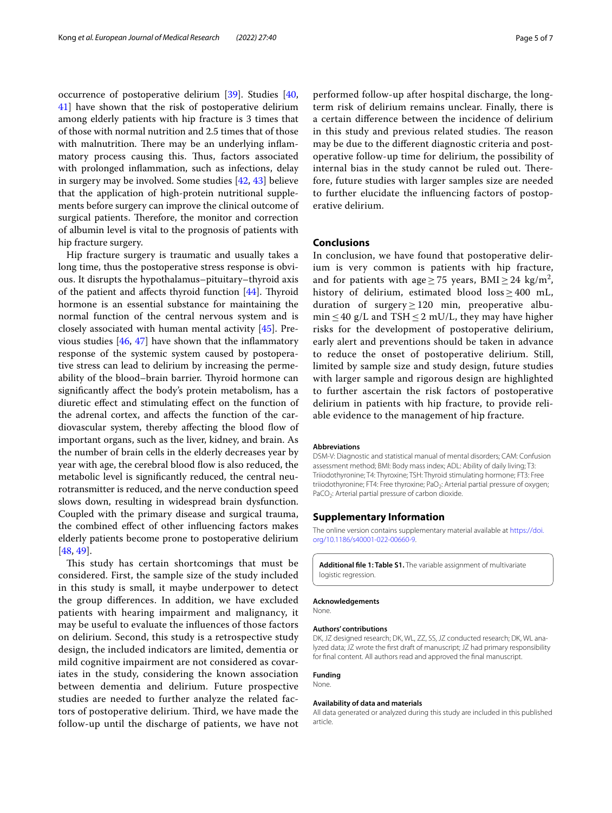occurrence of postoperative delirium [[39](#page-6-3)]. Studies [\[40](#page-6-4), [41\]](#page-6-5) have shown that the risk of postoperative delirium among elderly patients with hip fracture is 3 times that of those with normal nutrition and 2.5 times that of those with malnutrition. There may be an underlying inflammatory process causing this. Thus, factors associated with prolonged infammation, such as infections, delay in surgery may be involved. Some studies [[42,](#page-6-6) [43](#page-6-7)] believe that the application of high-protein nutritional supplements before surgery can improve the clinical outcome of surgical patients. Therefore, the monitor and correction of albumin level is vital to the prognosis of patients with hip fracture surgery.

Hip fracture surgery is traumatic and usually takes a long time, thus the postoperative stress response is obvious. It disrupts the hypothalamus–pituitary–thyroid axis of the patient and affects thyroid function  $[44]$  $[44]$ . Thyroid hormone is an essential substance for maintaining the normal function of the central nervous system and is closely associated with human mental activity [[45](#page-6-9)]. Previous studies  $[46, 47]$  $[46, 47]$  $[46, 47]$  $[46, 47]$  have shown that the inflammatory response of the systemic system caused by postoperative stress can lead to delirium by increasing the permeability of the blood–brain barrier. Thyroid hormone can signifcantly afect the body's protein metabolism, has a diuretic efect and stimulating efect on the function of the adrenal cortex, and afects the function of the cardiovascular system, thereby affecting the blood flow of important organs, such as the liver, kidney, and brain. As the number of brain cells in the elderly decreases year by year with age, the cerebral blood flow is also reduced, the metabolic level is signifcantly reduced, the central neurotransmitter is reduced, and the nerve conduction speed slows down, resulting in widespread brain dysfunction. Coupled with the primary disease and surgical trauma, the combined efect of other infuencing factors makes elderly patients become prone to postoperative delirium [[48,](#page-6-12) [49](#page-6-13)].

This study has certain shortcomings that must be considered. First, the sample size of the study included in this study is small, it maybe underpower to detect the group diferences. In addition, we have excluded patients with hearing impairment and malignancy, it may be useful to evaluate the infuences of those factors on delirium. Second, this study is a retrospective study design, the included indicators are limited, dementia or mild cognitive impairment are not considered as covariates in the study, considering the known association between dementia and delirium. Future prospective studies are needed to further analyze the related factors of postoperative delirium. Third, we have made the follow-up until the discharge of patients, we have not performed follow-up after hospital discharge, the longterm risk of delirium remains unclear. Finally, there is a certain diference between the incidence of delirium in this study and previous related studies. The reason may be due to the diferent diagnostic criteria and postoperative follow-up time for delirium, the possibility of internal bias in the study cannot be ruled out. Therefore, future studies with larger samples size are needed to further elucidate the infuencing factors of postoperative delirium.

# **Conclusions**

In conclusion, we have found that postoperative delirium is very common is patients with hip fracture, and for patients with age  $\geq$  75 years, BMI  $\geq$  24 kg/m<sup>2</sup>, history of delirium, estimated blood  $loss \geq 400$  mL, duration of surgery  $\geq$  120 min, preoperative albumin  $\leq$  40 g/L and TSH  $\leq$  2 mU/L, they may have higher risks for the development of postoperative delirium, early alert and preventions should be taken in advance to reduce the onset of postoperative delirium. Still, limited by sample size and study design, future studies with larger sample and rigorous design are highlighted to further ascertain the risk factors of postoperative delirium in patients with hip fracture, to provide reliable evidence to the management of hip fracture.

#### **Abbreviations**

DSM-V: Diagnostic and statistical manual of mental disorders; CAM: Confusion assessment method; BMI: Body mass index; ADL: Ability of daily living; T3: Triiodothyronine; T4: Thyroxine; TSH: Thyroid stimulating hormone; FT3: Free triiodothyronine; FT4: Free thyroxine; PaO<sub>2</sub>: Arterial partial pressure of oxygen; PaCO<sub>2</sub>: Arterial partial pressure of carbon dioxide.

#### **Supplementary Information**

The online version contains supplementary material available at [https://doi.](https://doi.org/10.1186/s40001-022-00660-9) [org/10.1186/s40001-022-00660-9](https://doi.org/10.1186/s40001-022-00660-9).

<span id="page-4-0"></span>**Additional fle 1: Table S1.** The variable assignment of multivariate logistic regression.

#### **Acknowledgements**

None.

#### **Authors' contributions**

DK, JZ designed research; DK, WL, ZZ, SS, JZ conducted research; DK, WL analyzed data; JZ wrote the frst draft of manuscript; JZ had primary responsibility for fnal content. All authors read and approved the fnal manuscript.

#### **Funding** None.

#### **Availability of data and materials**

All data generated or analyzed during this study are included in this published article.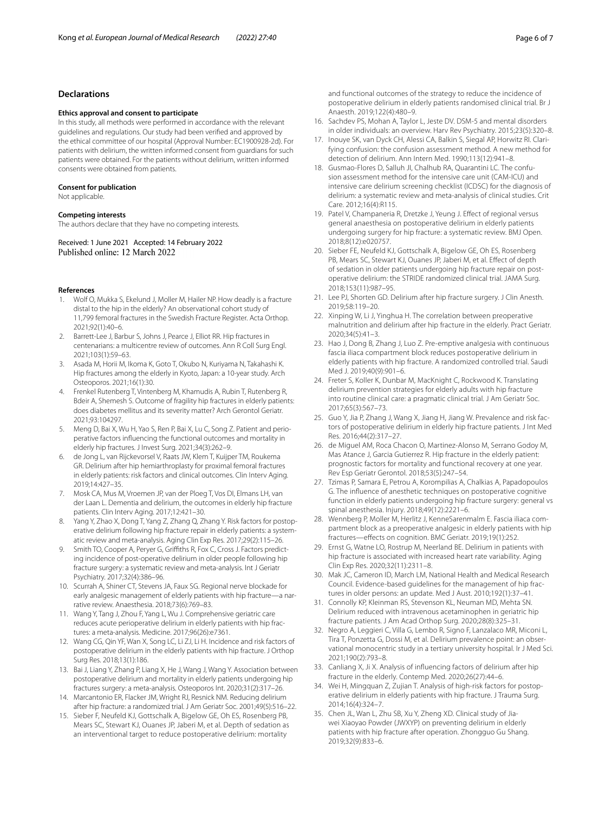## **Declarations**

#### **Ethics approval and consent to participate**

In this study, all methods were performed in accordance with the relevant guidelines and regulations. Our study had been verifed and approved by the ethical committee of our hospital (Approval Number: EC1900928-2d). For patients with delirium, the written informed consent from guardians for such patients were obtained. For the patients without delirium, written informed consents were obtained from patients.

#### **Consent for publication**

Not applicable.

#### **Competing interests**

The authors declare that they have no competing interests.

Received: 1 June 2021 Accepted: 14 February 2022<br>Published online: 12 March 2022

#### **References**

- <span id="page-5-0"></span>1. Wolf O, Mukka S, Ekelund J, Moller M, Hailer NP. How deadly is a fracture distal to the hip in the elderly? An observational cohort study of 11,799 femoral fractures in the Swedish Fracture Register. Acta Orthop. 2021;92(1):40–6.
- <span id="page-5-1"></span>2. Barrett-Lee J, Barbur S, Johns J, Pearce J, Elliot RR. Hip fractures in centenarians: a multicentre review of outcomes. Ann R Coll Surg Engl. 2021;103(1):59–63.
- <span id="page-5-2"></span>3. Asada M, Horii M, Ikoma K, Goto T, Okubo N, Kuriyama N, Takahashi K. Hip fractures among the elderly in Kyoto, Japan: a 10-year study. Arch Osteoporos. 2021;16(1):30.
- <span id="page-5-3"></span>4. Frenkel Rutenberg T, Vintenberg M, Khamudis A, Rubin T, Rutenberg R, Bdeir A, Shemesh S. Outcome of fragility hip fractures in elderly patients: does diabetes mellitus and its severity matter? Arch Gerontol Geriatr. 2021;93:104297.
- <span id="page-5-4"></span>5. Meng D, Bai X, Wu H, Yao S, Ren P, Bai X, Lu C, Song Z. Patient and perioperative factors infuencing the functional outcomes and mortality in elderly hip fractures. J Invest Surg. 2021;34(3):262–9.
- <span id="page-5-5"></span>6. de Jong L, van Rijckevorsel V, Raats JW, Klem T, Kuijper TM, Roukema GR. Delirium after hip hemiarthroplasty for proximal femoral fractures in elderly patients: risk factors and clinical outcomes. Clin Interv Aging. 2019;14:427–35.
- <span id="page-5-6"></span>7. Mosk CA, Mus M, Vroemen JP, van der Ploeg T, Vos DI, Elmans LH, van der Laan L. Dementia and delirium, the outcomes in elderly hip fracture patients. Clin Interv Aging. 2017;12:421–30.
- <span id="page-5-7"></span>8. Yang Y, Zhao X, Dong T, Yang Z, Zhang Q, Zhang Y. Risk factors for postoperative delirium following hip fracture repair in elderly patients: a systematic review and meta-analysis. Aging Clin Exp Res. 2017;29(2):115–26.
- <span id="page-5-8"></span>9. Smith TO, Cooper A, Peryer G, Griffiths R, Fox C, Cross J. Factors predicting incidence of post-operative delirium in older people following hip fracture surgery: a systematic review and meta-analysis. Int J Geriatr Psychiatry. 2017;32(4):386–96.
- <span id="page-5-9"></span>10. Scurrah A, Shiner CT, Stevens JA, Faux SG. Regional nerve blockade for early analgesic management of elderly patients with hip fracture—a narrative review. Anaesthesia. 2018;73(6):769–83.
- <span id="page-5-10"></span>11. Wang Y, Tang J, Zhou F, Yang L, Wu J. Comprehensive geriatric care reduces acute perioperative delirium in elderly patients with hip fractures: a meta-analysis. Medicine. 2017;96(26):e7361.
- <span id="page-5-11"></span>12. Wang CG, Qin YF, Wan X, Song LC, Li ZJ, Li H. Incidence and risk factors of postoperative delirium in the elderly patients with hip fracture. J Orthop Surg Res. 2018;13(1):186.
- <span id="page-5-12"></span>13. Bai J, Liang Y, Zhang P, Liang X, He J, Wang J, Wang Y. Association between postoperative delirium and mortality in elderly patients undergoing hip fractures surgery: a meta-analysis. Osteoporos Int. 2020;31(2):317–26.
- <span id="page-5-13"></span>14. Marcantonio ER, Flacker JM, Wright RJ, Resnick NM. Reducing delirium after hip fracture: a randomized trial. J Am Geriatr Soc. 2001;49(5):516–22.
- <span id="page-5-14"></span>15. Sieber F, Neufeld KJ, Gottschalk A, Bigelow GE, Oh ES, Rosenberg PB, Mears SC, Stewart KJ, Ouanes JP, Jaberi M, et al. Depth of sedation as an interventional target to reduce postoperative delirium: mortality

and functional outcomes of the strategy to reduce the incidence of postoperative delirium in elderly patients randomised clinical trial. Br J Anaesth. 2019;122(4):480–9.

- <span id="page-5-15"></span>16. Sachdev PS, Mohan A, Taylor L, Jeste DV. DSM-5 and mental disorders in older individuals: an overview. Harv Rev Psychiatry. 2015;23(5):320–8.
- <span id="page-5-16"></span>17. Inouye SK, van Dyck CH, Alessi CA, Balkin S, Siegal AP, Horwitz RI. Clarifying confusion: the confusion assessment method. A new method for detection of delirium. Ann Intern Med. 1990;113(12):941–8.
- <span id="page-5-17"></span>18. Gusmao-Flores D, Salluh JI, Chalhub RA, Quarantini LC. The confusion assessment method for the intensive care unit (CAM-ICU) and intensive care delirium screening checklist (ICDSC) for the diagnosis of delirium: a systematic review and meta-analysis of clinical studies. Crit Care. 2012;16(4):R115.
- <span id="page-5-18"></span>19. Patel V, Champaneria R, Dretzke J, Yeung J. Efect of regional versus general anaesthesia on postoperative delirium in elderly patients undergoing surgery for hip fracture: a systematic review. BMJ Open. 2018;8(12):e020757.
- <span id="page-5-19"></span>20. Sieber FE, Neufeld KJ, Gottschalk A, Bigelow GE, Oh ES, Rosenberg PB, Mears SC, Stewart KJ, Ouanes JP, Jaberi M, et al. Effect of depth of sedation in older patients undergoing hip fracture repair on postoperative delirium: the STRIDE randomized clinical trial. JAMA Surg. 2018;153(11):987–95.
- <span id="page-5-20"></span>21. Lee PJ, Shorten GD. Delirium after hip fracture surgery. J Clin Anesth. 2019;58:119–20.
- <span id="page-5-21"></span>22. Xinping W, Li J, Yinghua H. The correlation between preoperative malnutrition and delirium after hip fracture in the elderly. Pract Geriatr. 2020;34(5):41–3.
- <span id="page-5-22"></span>23. Hao J, Dong B, Zhang J, Luo Z. Pre-emptive analgesia with continuous fascia iliaca compartment block reduces postoperative delirium in elderly patients with hip fracture. A randomized controlled trial. Saudi Med J. 2019;40(9):901–6.
- 24. Freter S, Koller K, Dunbar M, MacKnight C, Rockwood K. Translating delirium prevention strategies for elderly adults with hip fracture into routine clinical care: a pragmatic clinical trial. J Am Geriatr Soc. 2017;65(3):567–73.
- <span id="page-5-23"></span>25. Guo Y, Jia P, Zhang J, Wang X, Jiang H, Jiang W. Prevalence and risk factors of postoperative delirium in elderly hip fracture patients. J Int Med Res. 2016;44(2):317–27.
- <span id="page-5-24"></span>26. de Miguel AM, Roca Chacon O, Martinez-Alonso M, Serrano Godoy M, Mas Atance J, Garcia Gutierrez R. Hip fracture in the elderly patient: prognostic factors for mortality and functional recovery at one year. Rev Esp Geriatr Gerontol. 2018;53(5):247–54.
- <span id="page-5-25"></span>27. Tzimas P, Samara E, Petrou A, Korompilias A, Chalkias A, Papadopoulos G. The infuence of anesthetic techniques on postoperative cognitive function in elderly patients undergoing hip fracture surgery: general vs spinal anesthesia. Injury. 2018;49(12):2221–6.
- <span id="page-5-26"></span>28. Wennberg P, Moller M, Herlitz J, KenneSarenmalm E. Fascia iliaca compartment block as a preoperative analgesic in elderly patients with hip fractures—efects on cognition. BMC Geriatr. 2019;19(1):252.
- <span id="page-5-27"></span>29. Ernst G, Watne LO, Rostrup M, Neerland BE. Delirium in patients with hip fracture is associated with increased heart rate variability. Aging Clin Exp Res. 2020;32(11):2311–8.
- <span id="page-5-28"></span>30. Mak JC, Cameron ID, March LM, National Health and Medical Research Council. Evidence-based guidelines for the management of hip fractures in older persons: an update. Med J Aust. 2010;192(1):37–41.
- <span id="page-5-29"></span>31. Connolly KP, Kleinman RS, Stevenson KL, Neuman MD, Mehta SN. Delirium reduced with intravenous acetaminophen in geriatric hip fracture patients. J Am Acad Orthop Surg. 2020;28(8):325–31.
- <span id="page-5-30"></span>32. Negro A, Leggieri C, Villa G, Lembo R, Signo F, Lanzalaco MR, Miconi L, Tira T, Ponzetta G, Dossi M, et al. Delirium prevalence point: an observational monocentric study in a tertiary university hospital. Ir J Med Sci. 2021;190(2):793–8.
- <span id="page-5-31"></span>33. Canliang X, Ji X. Analysis of infuencing factors of delirium after hip fracture in the elderly. Contemp Med. 2020;26(27):44–6.
- <span id="page-5-32"></span>34. Wei H, Mingquan Z, Zujian T. Analysis of high-risk factors for postoperative delirium in elderly patients with hip fracture. J Trauma Surg. 2014;16(4):324–7.
- <span id="page-5-33"></span>35. Chen JL, Wan L, Zhu SB, Xu Y, Zheng XD. Clinical study of Jiawei Xiaoyao Powder (JWXYP) on preventing delirium in elderly patients with hip fracture after operation. Zhongguo Gu Shang. 2019;32(9):833–6.